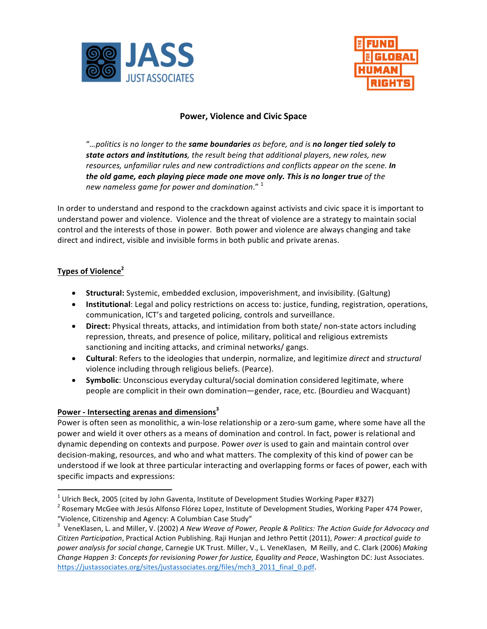



## **Power, Violence and Civic Space**

"...politics is no longer to the same boundaries as before, and is no longer tied solely to **state actors and institutions**, the result being that additional players, new roles, new *resources, unfamiliar rules and new contradictions and conflicts appear on the scene.* In *the old game, each playing piece made one move only. This is no longer true of the* new nameless game for power and domination." <sup>1</sup>

In order to understand and respond to the crackdown against activists and civic space it is important to understand power and violence. Violence and the threat of violence are a strategy to maintain social control and the interests of those in power. Both power and violence are always changing and take direct and indirect, visible and invisible forms in both public and private arenas.

## **Types of Violence<sup>2</sup>**

- **Structural:** Systemic, embedded exclusion, impoverishment, and invisibility. (Galtung)
- Institutional: Legal and policy restrictions on access to: justice, funding, registration, operations, communication, ICT's and targeted policing, controls and surveillance.
- Direct: Physical threats, attacks, and intimidation from both state/ non-state actors including repression, threats, and presence of police, military, political and religious extremists sanctioning and inciting attacks, and criminal networks/ gangs.
- **Cultural**: Refers to the ideologies that underpin, normalize, and legitimize *direct* and *structural* violence including through religious beliefs. (Pearce).
- **Symbolic**: Unconscious everyday cultural/social domination considered legitimate, where people are complicit in their own domination—gender, race, etc. (Bourdieu and Wacquant)

## Power - Intersecting arenas and dimensions<sup>3</sup>

Power is often seen as monolithic, a win-lose relationship or a zero-sum game, where some have all the power and wield it over others as a means of domination and control. In fact, power is relational and dynamic depending on contexts and purpose. Power *over* is used to gain and maintain control over decision-making, resources, and who and what matters. The complexity of this kind of power can be understood if we look at three particular interacting and overlapping forms or faces of power, each with specific impacts and expressions:

<sup>&</sup>lt;sup>1</sup> Ulrich Beck, 2005 (cited by John Gaventa, Institute of Development Studies Working Paper #327)<br><sup>2</sup> Rosemary McGee with Jesús Alfonso Flórez Lopez, Institute of Development Studies, Working Paper 474 Power, "Violence, Citizenship and Agency: A Columbian Case Study"

<sup>&</sup>lt;sup>3</sup> VeneKlasen, L. and Miller, V. (2002) A New Weave of Power, People & Politics: The Action Guide for Advocacy and *Citizen Participation*, Practical Action Publishing. Raji Hunjan and Jethro Pettit (2011), *Power: A practical guide to*  power analysis for social change, Carnegie UK Trust. Miller, V., L. VeneKlasen, M Reilly, and C. Clark (2006) Making *Change Happen 3: Concepts for revisioning Power for Justice, Equality and Peace, Washington DC: Just Associates.* https://justassociates.org/sites/justassociates.org/files/mch3\_2011\_final\_0.pdf.